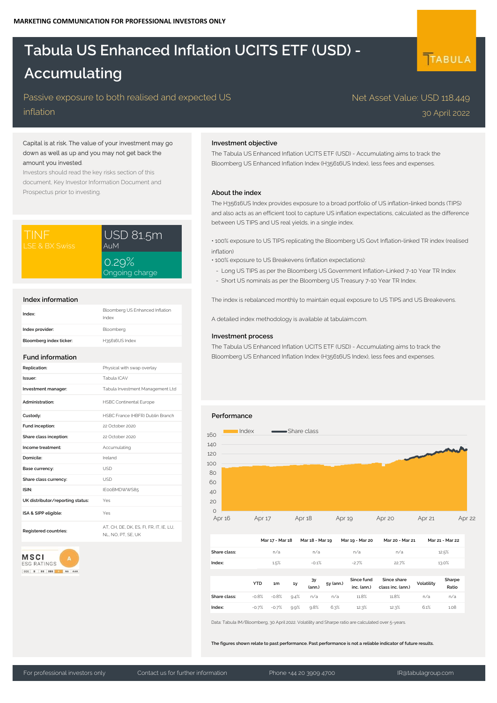# **Tabula US Enhanced Inflation UCITS ETF (USD) - Accumulating**

# Passive exposure to both realised and expected US

inflation

# Capital is at risk. The value of your investment may go down as well as up and you may not get back the amount you invested.

Investors should read the key risks section of this document, Key Investor Information Document and Prospectus prior to investing.

| ITINF          | USD 81.5m               |  |  |
|----------------|-------------------------|--|--|
| LSE & BX Swiss | AuM                     |  |  |
|                | 0.29%<br>Ongoing charge |  |  |

#### **Index information**

| Index:                  | Bloomberg US Enhanced Inflation<br>Index |
|-------------------------|------------------------------------------|
| Index provider:         | Bloomberg                                |
| Bloomberg index ticker: | H35616US Index                           |

#### **Fund information**

| Replication:                     | Physical with swap overlay                                |
|----------------------------------|-----------------------------------------------------------|
| Issuer:                          | Tabula ICAV                                               |
| Investment manager:              | Tabula Investment Management Ltd                          |
| Administration:                  | <b>HSBC Continental Europe</b>                            |
| Custody:                         | HSBC France (HBFR) Dublin Branch                          |
| Fund inception:                  | 22 October 2020                                           |
| Share class inception:           | 22 October 2020                                           |
| Income treatment:                | Accumulating                                              |
| Domicile:                        | Ireland                                                   |
| Base currency:                   | <b>USD</b>                                                |
| Share class currency:            | <b>USD</b>                                                |
| ISIN:                            | IE00BMDWWS85                                              |
| UK distributor/reporting status: | Yes                                                       |
| ISA & SIPP eligible:             | Yes                                                       |
| Registered countries:            | AT, CH, DE, DK, ES, FI, FR, IT, IE, LU,<br>NI NO PT SE UK |

# **MSCI** ESG RATINGS

CCC B BB BBB A AA AAA

## **Investment objective**

The Tabula US Enhanced Inflation UCITS ETF (USD) - Accumulating aims to track the Bloomberg US Enhanced Inflation Index (H35616US Index), less fees and expenses.

### **About the index**

The H35616US Index provides exposure to a broad portfolio of US inflation-linked bonds (TIPS) and also acts as an efficient tool to capture US inflation expectations, calculated as the difference between US TIPS and US real yields, in a single index.

• 100% exposure to US TIPS replicating the Bloomberg US Govt Inflation-linked TR index (realised inflation)

- 100% exposure to US Breakevens (inflation expectations):
- Long US TIPS as per the Bloomberg US Government Inflation-Linked 7-10 Year TR Index
- Short US nominals as per the Bloomberg US Treasury 7-10 Year TR Index.

The index is rebalanced monthly to maintain equal exposure to US TIPS and US Breakevens.

A detailed index methodology is available at tabulaim.com.

#### **Investment process**

The Tabula US Enhanced Inflation UCITS ETF (USD) - Accumulating aims to track the Bloomberg US Enhanced Inflation Index (H35616US Index), less fees and expenses.

#### **Performance**



|              |         | Mar 17 - Mar 18 |      | Mar 18 - Mar 19 |           | Mar 19 - Mar 20           | Mar 20 - Mar 21                  |            | Mar 21 - Mar 22 |  |
|--------------|---------|-----------------|------|-----------------|-----------|---------------------------|----------------------------------|------------|-----------------|--|
| Share class: |         | n/a             |      | n/a             |           | n/a                       | n/a                              |            | 12.5%           |  |
| Index:       |         | 1.5%            |      | $-0.1%$         |           | $-2.7%$                   | 22.7%                            |            | 13.0%           |  |
|              |         |                 |      |                 |           |                           |                                  |            |                 |  |
|              | YTD.    | 1m              | 1y   | ЗУ<br>(ann.)    | 5y (ann.) | Since fund<br>inc. (ann.) | Since share<br>class inc. (ann.) | Volatility | Sharpe<br>Ratio |  |
| Share class: | $-0.8%$ | $-0.8%$         | 9.4% | n/a             | n/a       | 11.8%                     | 11.8%                            | n/a        | n/a             |  |
| Index:       | $-0.7%$ | $-0.7%$         | 9.9% | 9.8%            | 6.3%      | 12.3%                     | 12.3%                            | 6.1%       | 1.08            |  |

Data: Tabula IM/Bloomberg, 30 April 2022. Volatility and Sharpe ratio are calculated over 5-years.

**The figures shown relate to past performance. Past performance is not a reliable indicator of future results.**

# TABULA

30 April 2022

Net Asset Value: USD 118.449